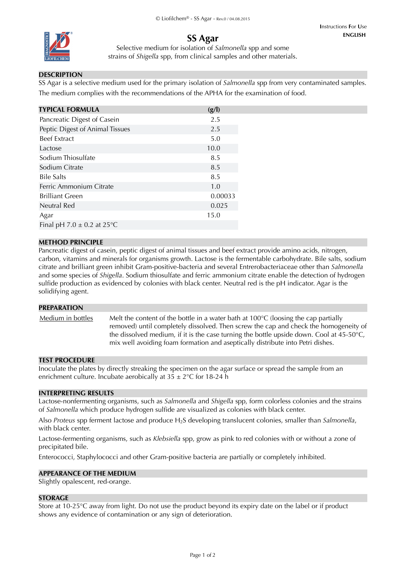

#### **ENGLISH I**nstructions **F**or **U**se

**SS Agar**

Selective medium for isolation of *Salmonella* spp and some strains of *Shigella* spp, from clinical samples and other materials.

## **DESCRIPTION**

SS Agar is a selective medium used for the primary isolation of *Salmonella* spp from very contaminated samples. The medium complies with the recommendations of the APHA for the examination of food.

| <b>TYPICAL FORMULA</b>          | (g/l)   |
|---------------------------------|---------|
| Pancreatic Digest of Casein     | 2.5     |
| Peptic Digest of Animal Tissues | 2.5     |
| <b>Beef Extract</b>             | 5.0     |
| Lactose                         | 10.0    |
| Sodium Thiosulfate              | 8.5     |
| Sodium Citrate                  | 8.5     |
| <b>Bile Salts</b>               | 8.5     |
| Ferric Ammonium Citrate         | 1.0     |
| <b>Brilliant Green</b>          | 0.00033 |
| Neutral Red                     | 0.025   |
| Agar                            | 15.0    |
| Final pH 7.0 $\pm$ 0.2 at 25 °C |         |

#### **METHOD PRINCIPLE**

Pancreatic digest of casein, peptic digest of animal tissues and beef extract provide amino acids, nitrogen, carbon, vitamins and minerals for organisms growth. Lactose is the fermentable carbohydrate. Bile salts, sodium citrate and brilliant green inhibit Gram-positive-bacteria and several Entrerobacteriaceae other than *Salmonella* and some species of *Shigella*. Sodium thiosulfate and ferric ammonium citrate enable the detection of hydrogen sulfide production as evidenced by colonies with black center. Neutral red is the pH indicator. Agar is the solidifying agent.

#### **PREPARATION**

Medium in bottles Melt the content of the bottle in a water bath at  $100^{\circ}C$  (loosing the cap partially removed) until completely dissolved. Then screw the cap and check the homogeneity of the dissolved medium, if it is the case turning the bottle upside down. Cool at  $45-50^{\circ}$ C, mix well avoiding foam formation and aseptically distribute into Petri dishes.

#### **TEST PROCEDURE**

Inoculate the plates by directly streaking the specimen on the agar surface or spread the sample from an enrichment culture. Incubate aerobically at  $35 \pm 2^{\circ}$ C for 18-24 h

#### **INTERPRETING RESULTS**

Lactose-nonfermenting organisms, such as *Salmonella* and *Shigella* spp, form colorless colonies and the strains of *Salmonella* which produce hydrogen sulfide are visualized as colonies with black center.

Also *Proteus* spp ferment lactose and produce H2S developing translucent colonies, smaller than *Salmonella*, with black center.

Lactose-fermenting organisms, such as *Klebsiella* spp, grow as pink to red colonies with or without a zone of precipitated bile.

Enterococci, Staphylococci and other Gram-positive bacteria are partially or completely inhibited.

## **APPEARANCE OF THE MEDIUM**

Slightly opalescent, red-orange.

#### **STORAGE**

Store at 10-25°C away from light. Do not use the product beyond its expiry date on the label or if product shows any evidence of contamination or any sign of deterioration.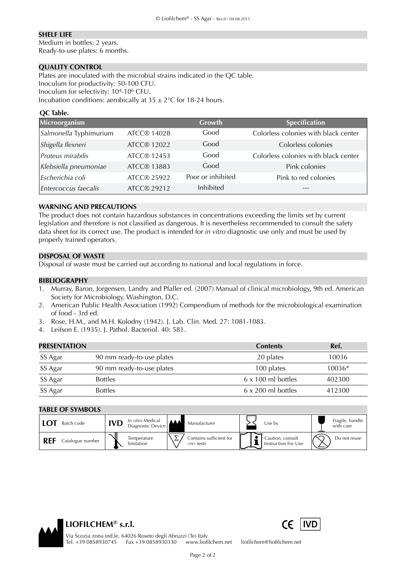#### **SHELF LIFE**

Medium in bottles: 2 years. Ready-to-use plates: 6 months.

## **QUALITY CONTROL**

Plates are inoculated with the microbial strains indicated in the QC table. Inoculum for productivity: 50-100 CFU. Inoculum for selectivity: 104-106 CFU. Incubation conditions: aerobically at  $35 \pm 2^{\circ}$ C for 18-24 hours.

## **QC Table.**

| Microorganism          |                    | Growth            | <b>Specification</b>                 |
|------------------------|--------------------|-------------------|--------------------------------------|
| Salmonella Typhimurium | <b>ATCC® 14028</b> | Good              | Colorless colonies with black center |
| Shigella flexneri      | ATCC® 12022        | Good              | Colorless colonies                   |
| Proteus mirabilis      | <b>ATCC® 12453</b> | Good              | Colorless colonies with black center |
| Klebsiella pneumoniae  | <b>ATCC® 13883</b> | Good              | Pink colonies                        |
| Escherichia coli       | ATCC® 25922        | Poor or inhibited | Pink to red colonies                 |
| Entercoccus faecalis   | ATCC® 29212        | Inhibited         |                                      |

#### **WARNING AND PRECAUTIONS**

The product does not contain hazardous substances in concentrations exceeding the limits set by current legislation and therefore is not classified as dangerous. It is nevertheless recommended to consult the safety data sheet for its correct use. The product is intended for *in vitro* diagnostic use only and must be used by properly trained operators.

#### **DISPOSAL OF WASTE**

Disposal of waste must be carried out according to national and local regulations in force.

#### **BIBLIOGRAPHY**

- 1. Murray, Baron, Jorgensen, Landry and Pfaller ed. (2007) Manual of clinical microbiology, 9th ed. American Society for Microbiology, Washington, D.C.
- 2. American Public Health Association (1992) Compendium of methods for the microbiological examination of food - 3rd ed.
- 3. Rose, H.M., and M.H. Kolodny (1942). J. Lab. Clin. Med. 27: 1081-1083.
- 4. Leifson E. (1935). J. Pathol. Bacteriol. 40: 581.

| <b>PRESENTATION</b> |                           | <b>Contents</b>           | Ref.     |
|---------------------|---------------------------|---------------------------|----------|
| SS Agar             | 90 mm ready-to-use plates | 20 plates                 | 10036    |
| SS Agar             | 90 mm ready-to-use plates | 100 plates                | $10036*$ |
| SS Agar             | <b>Bottles</b>            | $6 \times 100$ ml bottles | 402300   |
| SS Agar             | <b>Bottles</b>            | $6 \times 200$ ml bottles | 412300   |

# **TABLE OF SYMBOLS**

| Batch code       | In vitro Medical<br>IVD<br>Diagnostic Device | Manufacturer                                              | Use bv                                  | Fragile, handle<br>with care |
|------------------|----------------------------------------------|-----------------------------------------------------------|-----------------------------------------|------------------------------|
| Catalogue number | Temperature<br>limitation                    | ↽<br>Contains sufficient for<br>$\langle n \rangle$ tests | Caution, consult<br>Instruction For Use | $\sim$<br>Do not reuse       |



 Via Scozia zona ind.le, 64026 Roseto degli Abruzzi (Te) Italy Tel. +39 0858930745 Fax +39 0858930330 www.liofilchem.net liofilchem@liofilchem.net

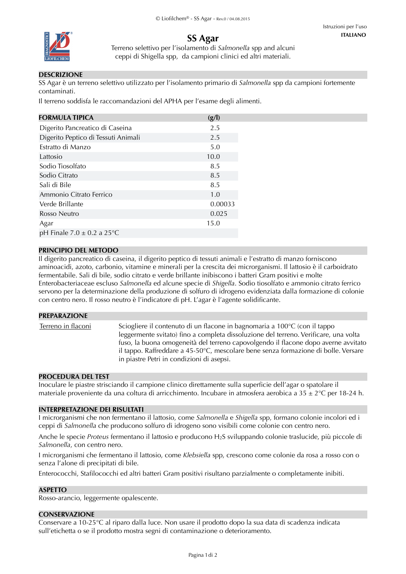

# **SS Agar**

Terreno selettivo per l'isolamento di *Salmonella* spp and alcuni ceppi di Shigella spp, da campioni clinici ed altri materiali.

## **DESCRIZIONE**

SS Agar è un terreno selettivo utilizzato per l'isolamento primario di *Salmonella* spp da campioni fortemente contaminati.

Il terreno soddisfa le raccomandazioni del APHA per l'esame degli alimenti.

| <b>FORMULA TIPICA</b>                    | (g/l)   |
|------------------------------------------|---------|
| Digerito Pancreatico di Caseina          | 2.5     |
| Digerito Peptico di Tessuti Animali      | 2.5     |
| Estratto di Manzo                        | 5.0     |
| Lattosio                                 | 10.0    |
| Sodio Tiosolfato                         | 8.5     |
| Sodio Citrato                            | 8.5     |
| Sali di Bile                             | 8.5     |
| Ammonio Citrato Ferrico                  | 1.0     |
| Verde Brillante                          | 0.00033 |
| Rosso Neutro                             | 0.025   |
| Agar                                     | 15.0    |
| pH Finale $7.0 \pm 0.2$ a $25^{\circ}$ C |         |

## **PRINCIPIO DEL METODO**

Il digerito pancreatico di caseina, il digerito peptico di tessuti animali e l'estratto di manzo forniscono aminoacidi, azoto, carbonio, vitamine e minerali per la crescita dei microrganismi. Il lattosio è il carboidrato fermentabile. Sali di bile, sodio citrato e verde brillante inibiscono i batteri Gram positivi e molte Enterobacteriaceae escluso *Salmonella* ed alcune specie di *Shigella*. Sodio tiosolfato e ammonio citrato ferrico servono per la determinazione della produzione di solfuro di idrogeno evidenziata dalla formazione di colonie con centro nero. Il rosso neutro è l'indicatore di pH. L'agar è l'agente solidificante.

#### **PREPARAZIONE**

Terreno in flaconi Sciogliere il contenuto di un flacone in bagnomaria a 100°C (con il tappo leggermente svitato) fino a completa dissoluzione del terreno. Verificare, una volta fuso, la buona omogeneità del terreno capovolgendo il flacone dopo averne avvitato il tappo. Raffreddare a 45-50°C, mescolare bene senza formazione di bolle. Versare in piastre Petri in condizioni di asepsi.

## **PROCEDURA DEL TEST**

Inoculare le piastre strisciando il campione clinico direttamente sulla superficie dell'agar o spatolare il materiale proveniente da una coltura di arricchimento. Incubare in atmosfera aerobica a 35 ± 2°C per 18-24 h.

## **INTERPRETAZIONE DEI RISULTATI**

I microrganismi che non fermentano il lattosio, come *Salmonella* e *Shigella* spp, formano colonie incolori ed i ceppi di *Salmonella* che producono solfuro di idrogeno sono visibili come colonie con centro nero.

Anche le specie *Proteus* fermentano il lattosio e producono H2S sviluppando colonie traslucide, più piccole di *Salmonella*, con centro nero.

I microrganismi che fermentano il lattosio, come *Klebsiella* spp, crescono come colonie da rosa a rosso con o senza l'alone di precipitati di bile.

Enterococchi, Stafilococchi ed altri batteri Gram positivi risultano parzialmente o completamente inibiti.

## **ASPETTO**

Rosso-arancio, leggermente opalescente.

#### **CONSERVAZIONE**

Conservare a 10-25°C al riparo dalla luce. Non usare il prodotto dopo la sua data di scadenza indicata sull'etichetta o se il prodotto mostra segni di contaminazione o deterioramento.